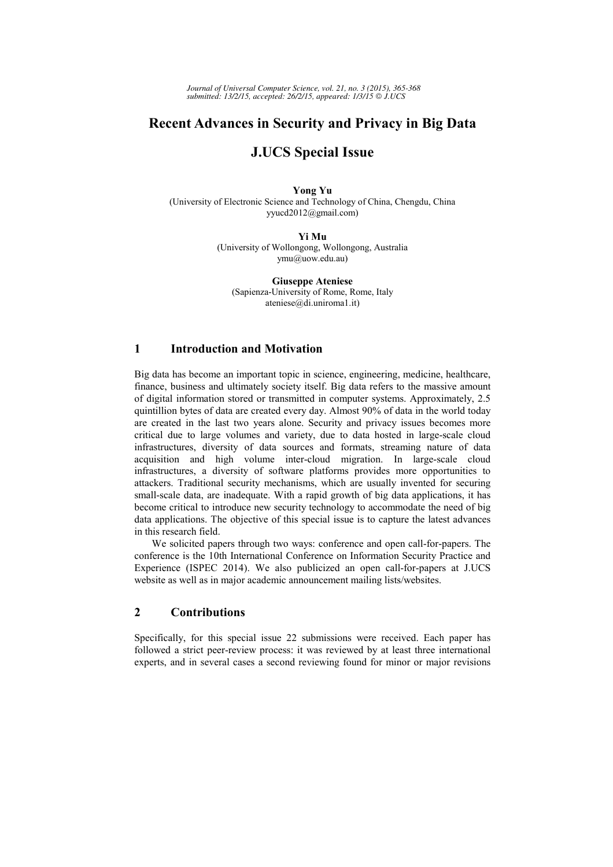*Journal of Universal Computer Science, vol. 21, no. 3 (2015), 365-368 submitted: 13/2/15, accepted: 26/2/15, appeared: 1/3/15 J.UCS*

# **Recent Advances in Security and Privacy in Big Data**

## **J.UCS Special Issue**

**Yong Yu**  (University of Electronic Science and Technology of China, Chengdu, China yyucd2012@gmail.com)

**Yi Mu** 

(University of Wollongong, Wollongong, Australia ymu@uow.edu.au)

**Giuseppe Ateniese**  (Sapienza-University of Rome, Rome, Italy ateniese@di.uniroma1.it)

### **1 Introduction and Motivation**

Big data has become an important topic in science, engineering, medicine, healthcare, finance, business and ultimately society itself. Big data refers to the massive amount of digital information stored or transmitted in computer systems. Approximately, 2.5 quintillion bytes of data are created every day. Almost 90% of data in the world today are created in the last two years alone. Security and privacy issues becomes more critical due to large volumes and variety, due to data hosted in large-scale cloud infrastructures, diversity of data sources and formats, streaming nature of data acquisition and high volume inter-cloud migration. In large-scale cloud infrastructures, a diversity of software platforms provides more opportunities to attackers. Traditional security mechanisms, which are usually invented for securing small-scale data, are inadequate. With a rapid growth of big data applications, it has become critical to introduce new security technology to accommodate the need of big data applications. The objective of this special issue is to capture the latest advances in this research field.

We solicited papers through two ways: conference and open call-for-papers. The conference is the 10th International Conference on Information Security Practice and Experience (ISPEC 2014). We also publicized an open call-for-papers at J.UCS website as well as in major academic announcement mailing lists/websites.

## **2 Contributions**

Specifically, for this special issue 22 submissions were received. Each paper has followed a strict peer-review process: it was reviewed by at least three international experts, and in several cases a second reviewing found for minor or major revisions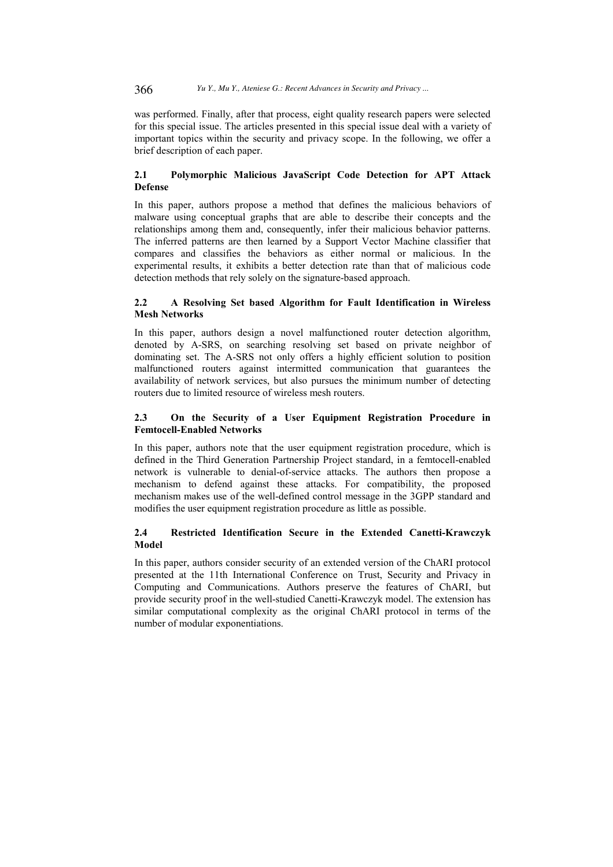366 *Yu Y., Mu Y., Ateniese G.: Recent Advances in Security and Privacy ...*

was performed. Finally, after that process, eight quality research papers were selected for this special issue. The articles presented in this special issue deal with a variety of important topics within the security and privacy scope. In the following, we offer a brief description of each paper.

#### **2.1 Polymorphic Malicious JavaScript Code Detection for APT Attack Defense**

In this paper, authors propose a method that defines the malicious behaviors of malware using conceptual graphs that are able to describe their concepts and the relationships among them and, consequently, infer their malicious behavior patterns. The inferred patterns are then learned by a Support Vector Machine classifier that compares and classifies the behaviors as either normal or malicious. In the experimental results, it exhibits a better detection rate than that of malicious code detection methods that rely solely on the signature-based approach.

#### **2.2 A Resolving Set based Algorithm for Fault Identification in Wireless Mesh Networks**

In this paper, authors design a novel malfunctioned router detection algorithm, denoted by A-SRS, on searching resolving set based on private neighbor of dominating set. The A-SRS not only offers a highly efficient solution to position malfunctioned routers against intermitted communication that guarantees the availability of network services, but also pursues the minimum number of detecting routers due to limited resource of wireless mesh routers.

### **2.3 On the Security of a User Equipment Registration Procedure in Femtocell-Enabled Networks**

In this paper, authors note that the user equipment registration procedure, which is defined in the Third Generation Partnership Project standard, in a femtocell-enabled network is vulnerable to denial-of-service attacks. The authors then propose a mechanism to defend against these attacks. For compatibility, the proposed mechanism makes use of the well-defined control message in the 3GPP standard and modifies the user equipment registration procedure as little as possible.

### **2.4 Restricted Identification Secure in the Extended Canetti-Krawczyk Model**

In this paper, authors consider security of an extended version of the ChARI protocol presented at the 11th International Conference on Trust, Security and Privacy in Computing and Communications. Authors preserve the features of ChARI, but provide security proof in the well-studied Canetti-Krawczyk model. The extension has similar computational complexity as the original ChARI protocol in terms of the number of modular exponentiations.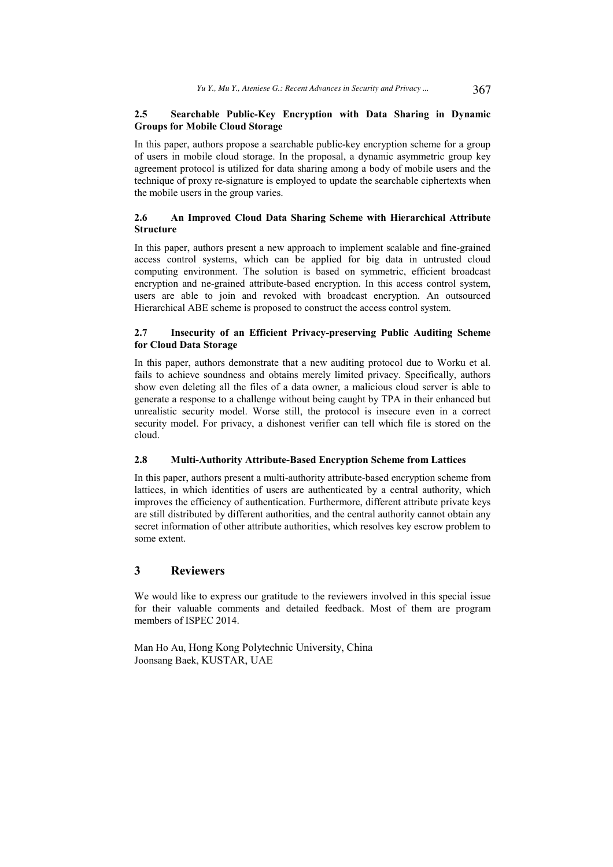#### **2.5 Searchable Public-Key Encryption with Data Sharing in Dynamic Groups for Mobile Cloud Storage**

In this paper, authors propose a searchable public-key encryption scheme for a group of users in mobile cloud storage. In the proposal, a dynamic asymmetric group key agreement protocol is utilized for data sharing among a body of mobile users and the technique of proxy re-signature is employed to update the searchable ciphertexts when the mobile users in the group varies.

#### **2.6 An Improved Cloud Data Sharing Scheme with Hierarchical Attribute Structure**

In this paper, authors present a new approach to implement scalable and fine-grained access control systems, which can be applied for big data in untrusted cloud computing environment. The solution is based on symmetric, efficient broadcast encryption and ne-grained attribute-based encryption. In this access control system, users are able to join and revoked with broadcast encryption. An outsourced Hierarchical ABE scheme is proposed to construct the access control system.

#### **2.7 Insecurity of an Efficient Privacy-preserving Public Auditing Scheme for Cloud Data Storage**

In this paper, authors demonstrate that a new auditing protocol due to Worku et al. fails to achieve soundness and obtains merely limited privacy. Specifically, authors show even deleting all the files of a data owner, a malicious cloud server is able to generate a response to a challenge without being caught by TPA in their enhanced but unrealistic security model. Worse still, the protocol is insecure even in a correct security model. For privacy, a dishonest verifier can tell which file is stored on the cloud.

#### **2.8 Multi-Authority Attribute-Based Encryption Scheme from Lattices**

In this paper, authors present a multi-authority attribute-based encryption scheme from lattices, in which identities of users are authenticated by a central authority, which improves the efficiency of authentication. Furthermore, different attribute private keys are still distributed by different authorities, and the central authority cannot obtain any secret information of other attribute authorities, which resolves key escrow problem to some extent.

## **3 Reviewers**

We would like to express our gratitude to the reviewers involved in this special issue for their valuable comments and detailed feedback. Most of them are program members of ISPEC 2014.

Man Ho Au, Hong Kong Polytechnic University, China Joonsang Baek, KUSTAR, UAE